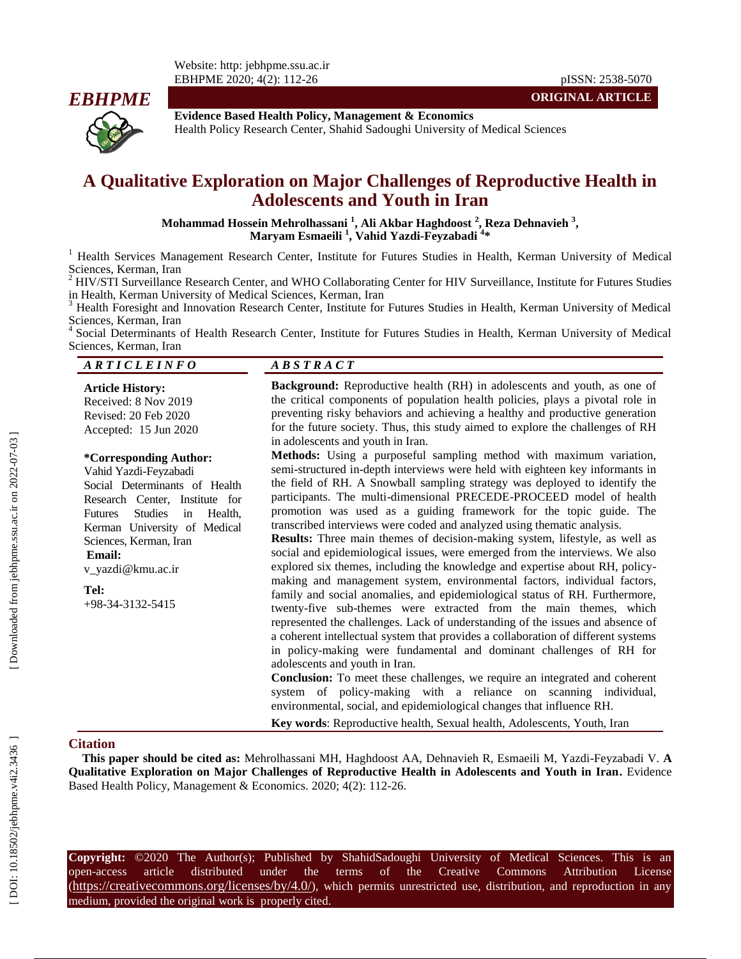Website: http: jebhpme.ssu.ac.ir EBHPME 2020; 4( 2): 112



**Evidence Based Health Policy, Management & Economics**

Health Policy Research Center, Shahid Sadoughi University of Medical Sciences

# **A Qualitative Exploration on Major Challenges of Reproductive Health in Adolescents and Youth in Iran**

**Mohammad Hossein Mehrolhassani 1 , Ali Akbar Haghdoost 2 , Reza Dehnavieh 3 , Maryam Esmaeili 1 , Vahid Yazdi -Feyzabadi 4 \***

<sup>1</sup> Health Services Management Research Center, Institute for Futures Studies in Health, Kerman University of Medical Sciences, Kerman, Iran  $\frac{2 \text{ HVACT}}{2 \text{ HVACT}}$ 

HIV/STI Surveillance Research Center, and WHO Collaborating Center for HIV Surveillance, Institute for Futures Studies in Health, Kerman University of Medical Sciences, Kerman, Iran<br><sup>3</sup> Health Foresight and Innovation Research Center, Institute for Futures Studies in Health, Kerman University of Medical

Sciences, Kerman, Iran <sup>4</sup>

Social Determinants of Health Research Center, Institute for Futures Studies in Health, Kerman University of Medical Sciences, Kerman, Iran

#### *A R T I C L E I N F O A B S T R A C T*

**Article History:** Received: 8 Nov 2019 Revised: 2 0 Feb 2020 Accepted: 15 Jun 2020

#### **\*Corresponding Author:**

Vahid Yazdi -Feyzabadi Social Determinants of Health Research Center, Institute for Futures Studies in Health, Kerman University of Medical Sciences, Kerman, Iran **Email:**

v\_yazdi@kmu.ac.ir

**Tel:** +98 -34 -3132 -5415 **Background:** Reproductive health (RH) in adolescents and youth, as one of the critical components of population health policies, plays a pivotal role in preventing risky behaviors and achieving a healthy and productive generation for the future society. Thus, this study aimed to explore the challenges of RH in adolescents and youth in Iran.

**Methods:** Using a purposeful sampling method with maximum variation, semi -structured in -depth interviews were held with eighteen key informants in the field of RH. A Snowball sampling strategy was deployed to identify the participants. The multi -dimensional PRECEDE -PROCEED model of health promotion was used as a guiding framework for the topic guide. The transcribed interviews were coded and analyzed using thematic analysis.

**Results:** Three main themes of decision -making system, lifestyle, as well as social and epidemiological issues, were emerged from the interviews. We also explored six themes, including the knowledge and expertise about RH, policy making and management system, environmental factors, individual factors, family and social anomalies, and epidemiological status of RH. Furthermore, twenty -five sub -themes were extracted from the main themes, which represented the challenges. Lack of understanding of the issues and absence of a coherent intellectual system that provides a collaboration of different systems in policy -making were fundamental and dominant challenges of RH for adolescents and youth in Iran.

**Conclusion:** To meet these challenges, we require an integrated and coherent system of policy -making with a reliance on scanning individual, environmental, social, and epidemiological changes that influence RH.

**Key words**: Reproductive health, Sexual health, Adolescents, Youth, Iran

#### **Citation**

This paper should be cited as: Mehrolhassani MH, Haghdoost AA, Dehnavieh R, Esmaeili M, Yazdi-Feyzabadi V. A **Qualitative Exploration on Major Challenges of Reproductive Health in Adolescents and Youth in Iran .** Evidence Based Health Policy, Management & Economics. 2020; 4(2): 112-26.

**Copyright:** ©2020 The Author(s); Published by ShahidSadoughi University of Medical Sciences. This is an open-access -access article distributed under the terms of the Creative Commons Attribution License (https://creativecommons.org/licenses/by/4.0/), which permits unrestricted use, distribution, and reproduction in any medium, provided the original work is properly cited.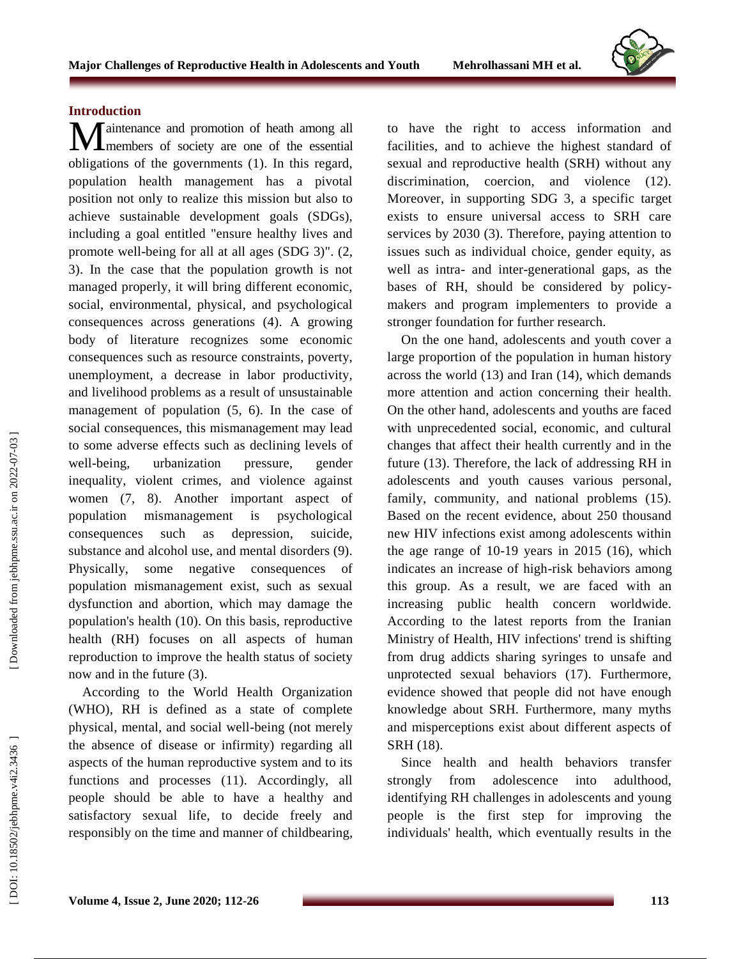#### **Introduction**

aintenance and promotion of heath among all **M**aintenance and promotion of heath among all members of society are one of the essential obligations of the governments (1). In this regard, population health management has a pivotal position not only to realize this mission but also to achieve sustainable development goals (SDGs), including a goal entitled "ensure healthy lives and promote well -being for all at all ages (SDG 3)". (2, 3). In the case that the population growth is not managed properly, it will bring different economic, social, environmental, physical, and psychological consequences across generations (4). A growing body of literature recognizes some economic consequences such as resource constraints, poverty, unemployment, a decrease in labor productivity, and livelihood problems as a result of unsustainable management of population (5, 6). In the case of social consequences, this mismanagement may lead to some adverse effects such as declining levels of well-being. urbanization pressure, gender inequality, violent crimes, and violence against women (7, 8). Another important aspect of population mismanagement is psychological consequences such as depression, suicide, substance and alcohol use, and mental disorders (9). Physically, some negative consequences of population mismanagement exist, such as sexual dysfunction and abortion, which may damage the population's health (10). On this basis, reproductive health (RH) focuses on all aspects of human reproduction to improve the health status of society now and in the future (3).

According to the World Health Organization (WHO), RH is defined as a state of complete physical, mental, and social well -being (not merely the absence of disease or infirmity) regarding all aspects of the human reproductive system and to its functions and processes (11). Accordingly, all people should be able to have a healthy and satisfactory sexual life, to decide freely and responsibly on the time and manner of childbearing,

to have the right to access information and facilities, and to achieve the highest standard of sexual and reproductive health (SRH) without any discrimination, coercion, and violence (12). Moreover, in supporting SDG 3, a specific target exists to ensure universal access to SRH care services by 2030 (3). Therefore, paying attention to issues such as individual choice, gender equity, as well as intra - and inter -generational gaps, as the bases of RH, should be considered by policy makers and program implementers to provide a stronger foundation for further research.

On the one hand, adolescents and youth cover a large proportion of the population in human history across the world (13) and Iran (14), which demands more attention and action concerning their health. On the other hand, adolescents and youths are faced with unprecedented social, economic, and cultural changes that affect their health currently and in the future (13). Therefore, the lack of addressing RH in adolescents and youth causes various personal, family, community, and national problems (15). Based on the recent evidence, about 250 thousand new HIV infections exist among adolescents within the age range of 10 -19 years in 2015 (16), which indicates an increase of high -risk behaviors among this group. As a result, we are faced with an increasing public health concern worldwide. According to the latest reports from the Iranian Ministry of Health, HIV infections' trend is shifting from drug addicts sharing syringes to unsafe and unprotected sexual behaviors (17). Furthermore, evidence showed that people did not have enough knowledge about SRH. Furthermore, many myths and misperceptions exist about different aspects of SRH (18).

Since health and health behaviors transfer strongly from adolescence into adulthood, identifying RH challenges in adolescents and young people is the first step for improving the individuals' health, which eventually results in the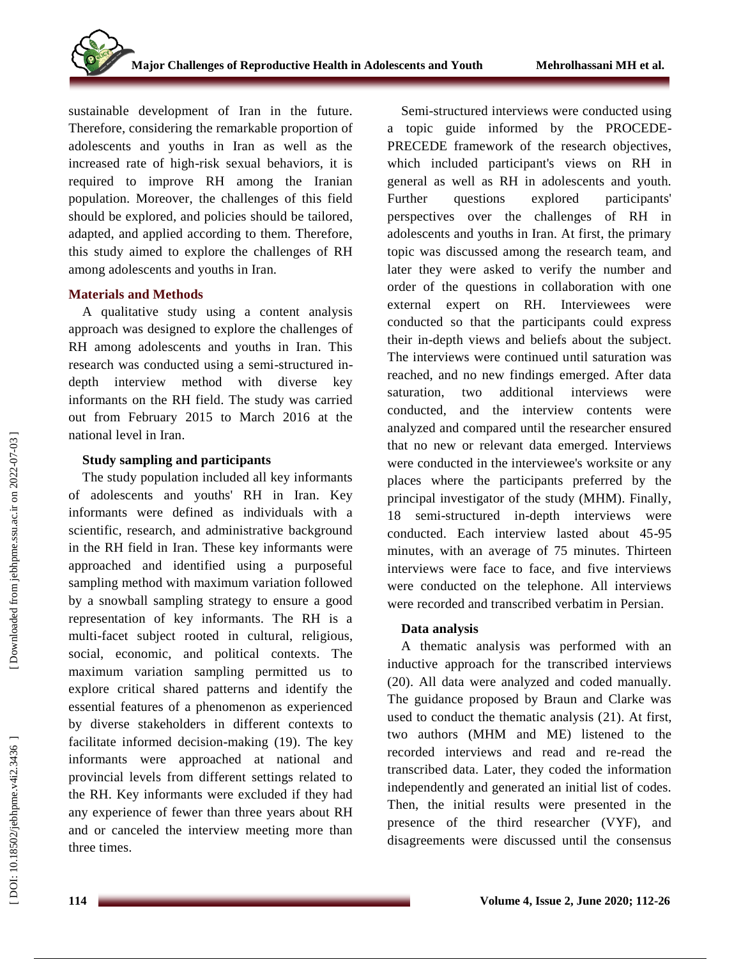sustainable development of Iran in the future. Therefore, considering the remarkable proportion of adolescents and youths in Iran as well as the increased rate of high -risk sexual behaviors, it is required to improve RH among the Iranian population. Moreover, the challenges of this field should be explored, and policies should be tailored, adapted, and applied according to them. Therefore, this study aimed to explore the challenges of RH among adolescents and youths in Iran.

#### **Materials and Methods**

A qualitative study using a content analysis approach was designed to explore the challenges of RH among adolescents and youths in Iran. This research was conducted using a semi -structured in depth interview method with diverse key informants on the RH field. The study was carried out from February 2015 to March 2016 at the national level in Iran.

## **Study sampling and participants**

The study population included all key informants of adolescents and youths' RH in Iran. Key informants were defined as individuals with a scientific, research, and administrative background in the RH field in Iran. These key informants were approached and identified using a purposeful sampling method with maximum variation followed by a snowball sampling strategy to ensure a good representation of key informants. The RH is a multi -facet subject rooted in cultural, religious, social, economic, and political contexts. The maximum variation sampling permitted us to explore critical shared patterns and identify the essential features of a phenomenon as experienced by diverse stakeholders in different contexts to facilitate informed decision -making (19). The key informants were approached at national and provincial levels from different settings related to the RH. Key informants were excluded if they had any experience of fewer than three years about RH and or canceled the interview meeting more than three times.

Semi -structured interviews were conducted using a topic guide informed by the PROCEDE - PRECEDE framework of the research objectives, which included participant's views on RH in general as well as RH in adolescents and youth. Further questions explored participants' perspectives over the challenges of RH in adolescents and youths in Iran. At first, the primary topic was discussed among the research team, and later they were asked to verify the number and order of the questions in collaboration with one external expert on RH. Interviewees were conducted so that the participants could express their in -depth views and beliefs about the subject. The interviews were continued until saturation was reached, and no new findings emerged. After data saturation, two additional interviews were conducted, and the interview contents were analyzed and compared until the researcher ensured that no new or relevant data emerged. Interviews were conducted in the interviewee's worksite or any places where the participants preferred by the principal investigator of the study (MHM). Finally, 18 semi -structured in -depth interviews were conducted. Each interview lasted about 45 -95 minutes, with an average of 75 minutes. Thirteen interviews were face to face, and five interviews were conducted on the telephone. All interviews were recorded and transcribed verbatim in Persian.

## **Data analysis**

A thematic analysis was performed with an inductive approach for the transcribed interviews (20). All data were analyzed and coded manually. The guidance proposed by Braun and Clarke was used to conduct the thematic analysis (21). At first, two authors (MHM and ME) listened to the recorded interviews and read and re-read the transcribed data. Later, they coded the information independently and generated an initial list of codes. Then, the initial results were presented in the presence of the third researcher (VYF), and disagreements were discussed until the consensus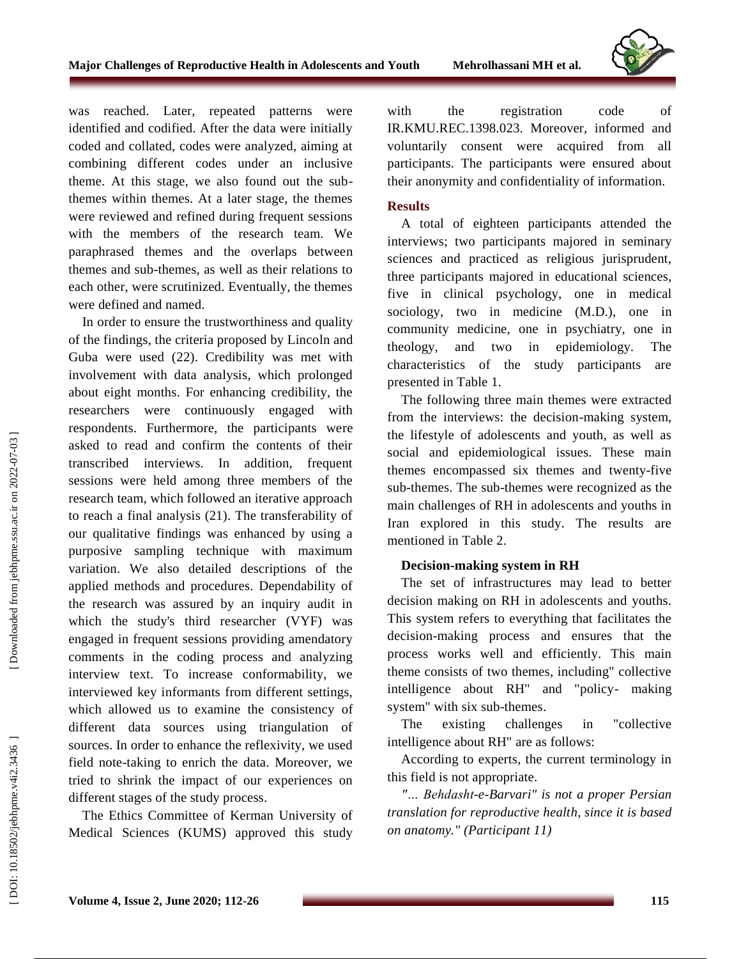

In order to ensure the trustworthiness and quality of the findings, the criteria proposed by Linco ln and Guba were used (22). Credibility was met with involvement with data analysis, which prolonged about eight months. For enhancing credibility, the researchers were continuously engaged with respondents. Furthermore, the participants were asked to read and confirm the contents of their transcribed interviews. In addition, frequent sessions were held among three members of the research team, which followed an iterative approach to reach a final analysis (21). The transferability of our qualitative findings was enhanced by using a purposive sampling technique with maximum variation. We also detailed descriptions of the applied methods and procedures. Dependability of the research was assured by an inquiry audit in which the study's third researcher (VYF) was engaged in frequent sessions providing amendatory comments in the coding process and analyzing interview text. To increase conformability, we interviewed key informants from different settings, which allowed us to examine the consistency of different data sources using triangulation of sources. In order to enhance the reflexivity, we used field note -taking to enrich the data. Moreover, we tried to shrink the impact of our experiences on different stages of the study process.

The Ethics Committee of Kerman University of Medical Sciences (KUMS) approved this study

with the registration code of IR.KMU.REC.1398.023. Moreover, informed and voluntarily consent were acquired from all participants. The participants were ensured about their anonymity and confidentiality of information.

#### **Results**

A total of eighteen participants attended the interviews; two participants majored in seminary sciences and practiced as religious jurisprudent, three participants majored in educational sciences, five in clinical psychology, one in medical sociology, two in medicine (M.D.), one in community medicine, one in psychiatry, one in theology, and two in epidemiology. The characteristics of the study participants are presented in Table 1.

The following three main themes were extracted from the interviews: the decision -making system, the lifestyle of adolescents and youth, as well as social and epidemiological issues. These main themes encompassed six themes and twenty -five sub -themes. The sub -themes were recognized as the main challenges of RH in adolescents and youths in Iran explored in this study. The results are mentioned in Table 2.

## **Decision -making system in RH**

The set of infrastructures may lead to better decision making on RH in adolescents and youths. This system refers to everything that facilitates the decision -making process and ensures that the process works well and efficiently. This main theme consists of two themes, including" collective intelligence about RH" and "policy - making system" with six sub -themes.

The existing challenges in "collective intelligence about RH" are as follows:

According to experts, the current terminology in this field is not appropriate.

*"… Behdasht - e -Barvari" is not a proper Persian translation for reproductive health, since it is based on anatomy." ( Participant 11 )*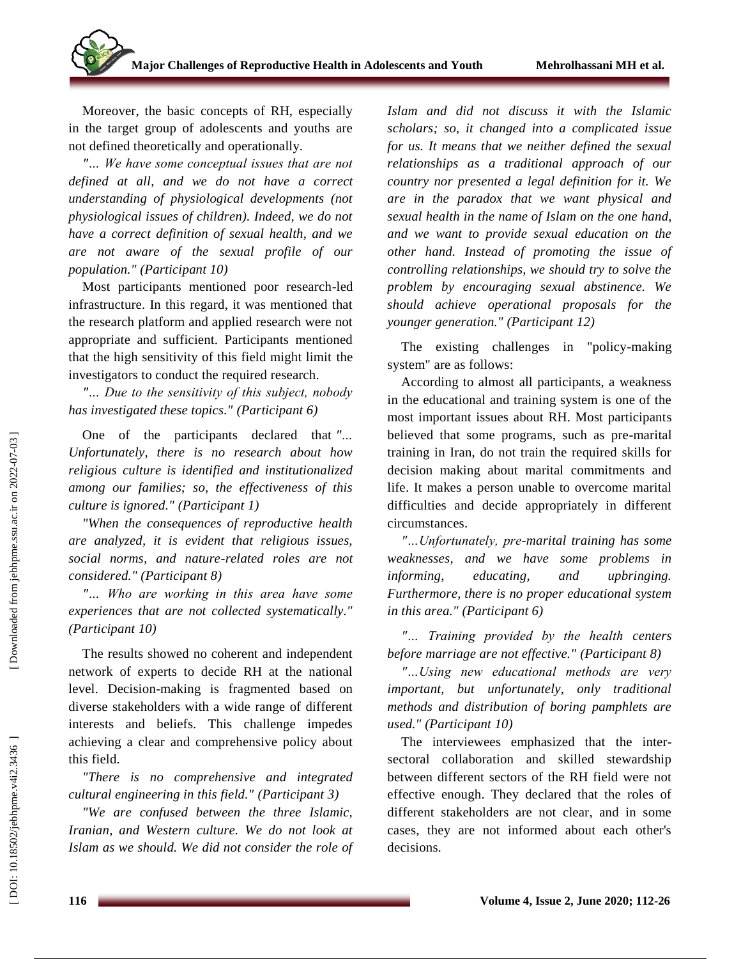Moreover, the basic concepts of RH, especially in the target group of adolescents and youths are not defined theoretically and operationally.

*"… We have some conceptual issues that are not defined at all , and we do not have a correct understanding of physiological developments (not physiological issues of children). Indeed, we do not have a correct definition of sexual health, and we are not aware of the sexual profile of our population." (Participant 10)*

Most participants mentioned poor research -led infrastructure. In this regard, it was mentioned that the research platform and applied research were not appropriate and sufficient. Participants mentioned that the high sensitivity of this field might limit the investigators to conduct the required research.

*"… Due to the sensitivity of this subject, nobody has investigated these topics." (Participant 6)*

One of the participants declared that *"… Unfortunately, there is no research about how religious culture is identified and institutionalized among our families; so, the effectiveness of this culture is ignored." (Participant 1)*

*"When the consequences of reproductive health are analyzed, it is evident that religious issues, social norms, and nature -related roles are not considered." (Participant 8)*

*"… Who are working in this area have some experiences that are not collected systematically." (Participant 10)*

The results showed no coherent and independent network of experts to decide RH at the national level. Decision -making is fragmented based on diverse stakeholders with a wide range of different interests and beliefs. This challenge impedes achieving a clear and comprehensive policy about this field.

*"There is no comprehensive and integrated cultural engineering in this field." (Participant 3)*

*"We are confused between the three Islamic, Iranian, and Western culture. We do not look at Islam as we should. We did not consider the role of* 

*Islam and did not discuss it with the Islamic scholars; so, it changed into a complicated issue for us. It means that we neither defined the sexual relationships as a traditional approach of our country nor presented a legal definition for it. We are in the paradox that we want physical and sexual health in the name of Islam on the one hand, and we want to provide sexual education on the other hand. Instead of promoting the issue of controlling relationships, we should try to solve the problem by encouraging sexual abstinence. We should achieve operational proposals for the younger generation." (Participant 12)*

The existing challenges in "policy -making system" are as follows:

According to almost all participants, a weakness in the educational and training system is one of the most important issues about RH. Most participants believed that some programs, such as pre -marital training in Iran, do not train the required skills for decision making about marital commitments and life. It makes a person unable to overcome marital difficulties and decide appropriately in different circumstances.

*"…Unfortunately, pre -marital training has some weaknesses , and we have some problems in informing, educating, and upbringing. Furthermore, there is no proper educational system in this area." (Participant 6)*

*"… Training provided by the health centers before marriage are not effective." (Participant 8)*

*"…Using new educational methods are very important, but unfortunately, only traditional methods and distribution of boring pamphlets are used." (Participant 10)*

The interviewees emphasized that the intersectoral collaboration and skilled stewardship between different sectors of the RH field were not effective enough. They declared that the roles of different stakeholders are not clear, and in some cases, they are not informed about each other's decisions.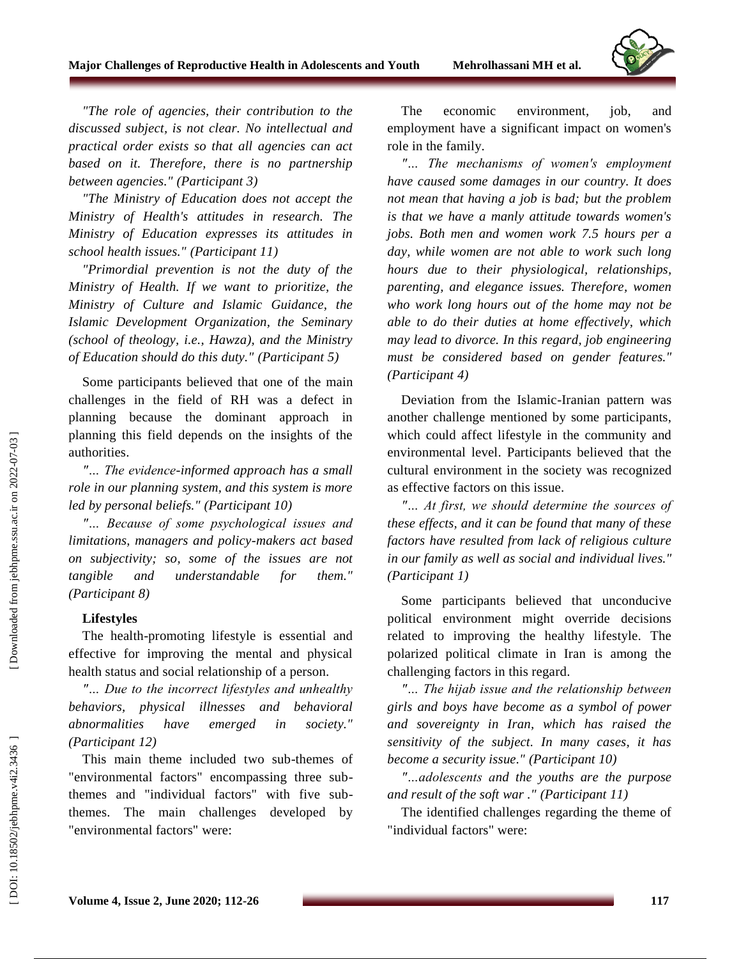

*"The role of agencies, their contribution to the discussed subject, is not clear. No intellectual and practical order exists so that all agencies can act based on it. Therefore, there is no partnership between agencies." (Participant 3)*

*"The Ministry of Education does not accept the Ministry of Health's attitudes in research. The Ministry of Education expresses its attitudes in school health issues." (Participant 11)*

*"Primordial prevention is not the duty of the Ministry of Health. If we want to prioritize, the Ministry of Culture and Islamic Guidance, the Islamic Development Organization, the Seminary (school of theology, i.e., Hawza), and the Ministry of Education should do this duty." (Participant 5)*

Some participants believed that one of the main challenges in the field of RH was a defect in planning because the dominant approach in planning this field depends on the insights of the authorities.

*"… The evidence -informed approach has a small role in our planning system, and this system is more led by personal beliefs." (Participant 10)*

*"… Because of some psychological issues and limitations, managers and policy -makers act based on subjectivity; so, some of the issues are not tangible and understandable for them." (Participant 8)*

#### **Lifestyles**

The health -promoting lifestyle is essential and effective for improving the mental and physical health status and social relationship of a person.

*"… Due to the incorrect lifestyles and unhealthy behaviors, physical illnesses and behavioral abnormalities have emerged in society." (Participant 12)*

This main theme included two sub -themes of "environmental factors" encompassing three sub themes and "individual factors" with five sub themes. The main challenges developed by "environmental factors" were:

The economic environment, job, and employment have a significant impact on women's role in the family.

*"… The mechanisms of women's employment have caused some damages in our country. It does not mean that having a job is bad; but the problem is that we have a manly attitude towards women's jobs. Both men and women work 7.5 hours per a day, while women are not able to work such long hours due to their physiological, relationships, parenting, and elegance issues. Therefore, women who work long hours out of the home may not be able to do their duties at home effectively, which may lead to divorce. In this regard, job engineering must be considered based on gender features." (Participant 4)*

Deviation from the Islamic -Iranian pattern was another challenge mentioned by some participants, which could affect lifestyle in the community and environmental level. Participants believed that the cultural environment in the society was recognized as effective factors on this issue.

*"… At first, we should determine the sources of these effects, and it can be found that many of these factors have resulted from lack of religious culture in our family as well as social and individual lives." (Participant 1)*

Some participants believed that unconducive political environment might override decisions related to improving the healthy lifestyle. The polarized political climate in Iran is among the challenging factors in this regard.

*"… The hijab issue and the relationship between girls and boys have become as a symbol of power and sovereignty in Iran, which has raised the sensitivity of the subject. In many cases, it has become a security issue." (Participant 10)*

*"…adolescents and the youths are the purpose and result of the soft war ." (Participant 11)*

The identified challenges regarding the theme of "individual factors" were: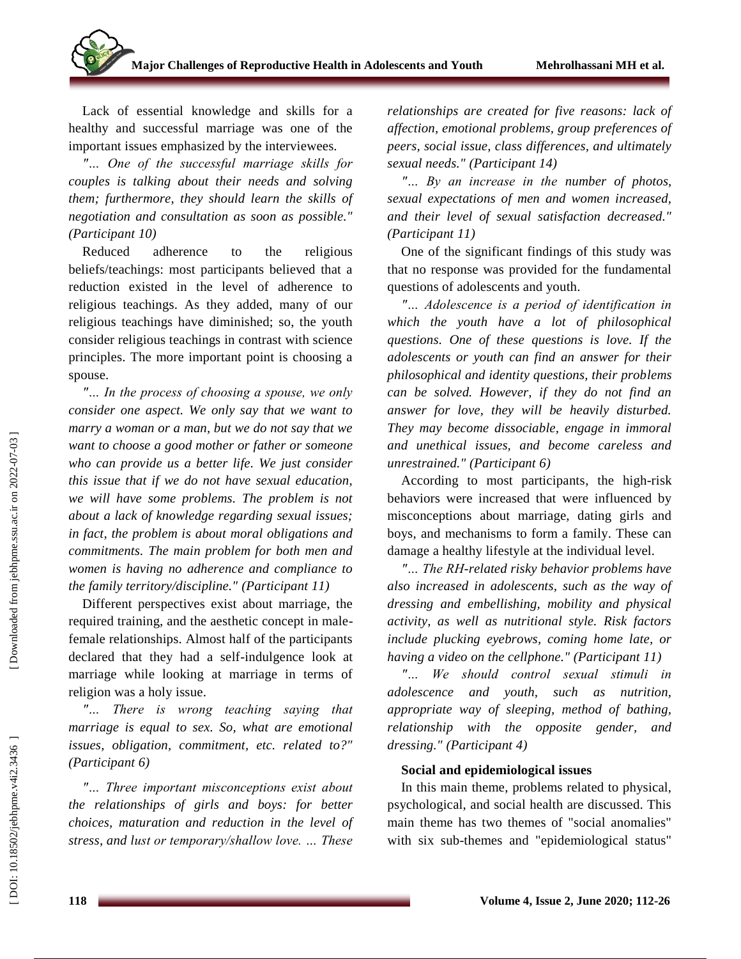Lack of essential knowledge and skills for a healthy and successful marriage was one of the important issues emphasized by the interviewees.

*"… One of the successful marriage skills for couples is talking about their needs and solving them; furthermore, they should learn the skills of negotiation and consultation as soon as possible." (Participant 10)*

Reduced adherence to the religious beliefs/teachings: most participants believed that a reduction existed in the level of adherence to religious teachings. As they added, many of our religious teachings have diminished; so, the youth consider religious teachings in contrast with science principles. The more important point is choosing a spouse.

*"… In the process of choosing a spouse, we only consider one aspect. We only say that we want to marry a woman or a man, but we do not say that we want to choose a good mother or father or someone who can provide us a better life. We just consider this issue that if we do not have sexual education, we will have some problems. The problem is not about a lack of knowledge regarding sexual issues; in fact, the problem is about moral obligations and commitments. The main problem for both men and women is having no adherence and compliance to the family territory/discipline." (Participant 11)*

Different perspectives exist about marriage, the required training, and the aesthetic concept in male female relationships. Almost half of the participants declared that they had a self -indulgence look at marriage while looking at marriage in terms of religion was a holy issue.

*"… There is wrong teaching saying that marriage is equal to sex. So, what are emotional issues, obligation, commitment, etc. related to?" (Participant 6)*

*"… Three important misconceptions exist about the relationships of girls and boys: for better choices, maturation and reduction in the level of stress, and lust or temporary/shallow love. … These* 

*relationships are created for five reasons: lack of affection, emotional problems, group preferences of peers, social issue, class differences, and ultimately sexual needs." (Participant 14)*

*"… By an increase in the number of photos, sexual expectations of men and women increased, and their level of sexual satisfaction decreased." (Participant 11)*

One of the significant findings of this study was that no response was provided for the fundamental questions of adolescents and youth.

*"… Adolescence is a period of identification in which the youth have a lot of philosophical questions. One of these questions is love. If the adolescents or youth can find an answer for their philosophical and identity questions, their problems can be solved. However, if they do not find an answer for love, they will be heavily disturbed. They may become dissociable, engage in immoral and unethical issues, and become careless and unrestrained." (Participant 6)*

According to most participants, the high -risk behaviors were increased that were influenced by misconceptions about marriage, dating girls and boys, and mechanisms to form a family. These can damage a healthy lifestyle at the individual level.

*"… The RH-related risky behavior problems have also increased in adolescents, such as the way of dressing and embellishing, mobility and physical activity, as well as nutritional style. Risk factors include plucking eyebrows, coming home late, or having a video on the cellphone." (Participant 11)*

*"… We should control sexual stimuli in adolescence and youth, such as nutrition, appropriate way of sleeping, method of bathing, relationship with the opposite gender, and dressing." (Participant 4)*

#### **Social and epidemiological issues**

In this main theme, problems related to physical, psychological, and social health are discussed. This main theme has two themes of "social anomalies" with six sub -themes and "epidemiological status"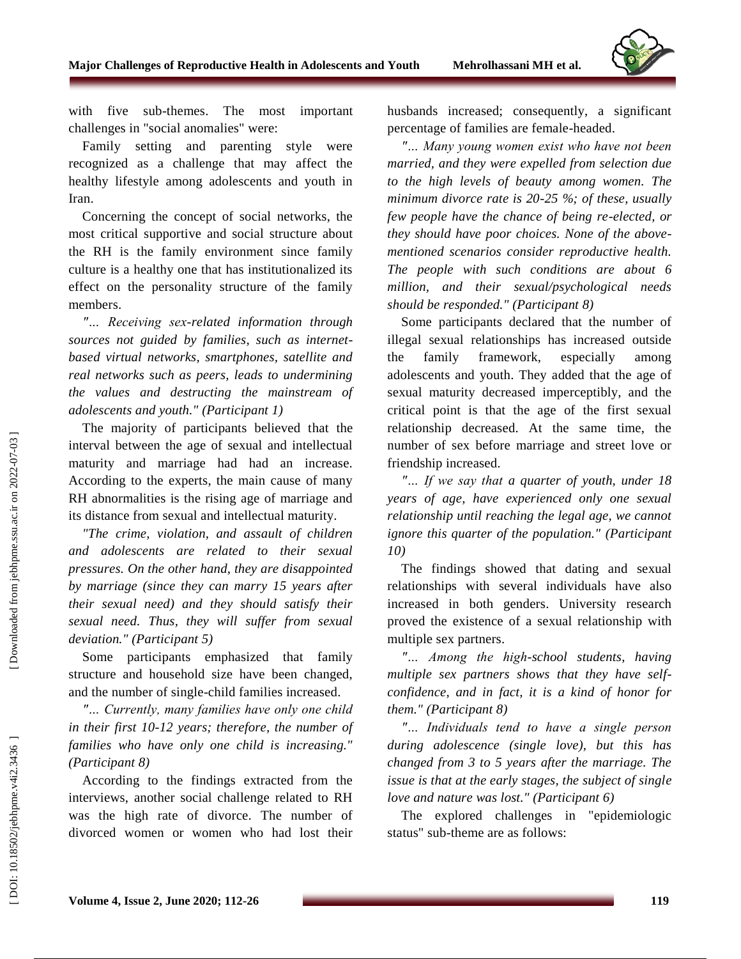

with five sub -themes. The most important challenges in "social anomalies" were:

Family setting and parenting style were recognized as a challenge that may affect the healthy lifestyle among adolescents and youth in Iran.

Concerning the concept of social networks, the most critical supportive and social structure about the RH is the family environment since family culture is a healthy one that has institutionalized its effect on the personality structure of the family members.

*"… Receiving sex -related information through sources not guided by families, such as internet based virtual networks, smartphones, satellite and real networks such as peers, leads to undermining the values and destructing the mainstream of adolescents and youth." (Participant 1)*

The majority of participants believed that the interval between the age of sexual and intellectual maturity and marriage had had an increase. According to the experts, the main cause of many RH abnormalities is the rising age of marriage and its distance from sexual and intellectual maturity.

*"The crime, violation, and assault of children and adolescents are related to their sexual pressures. On the other hand, they are disappointed by marriage (since they can marry 15 years after their sexual need) and they should satisfy their sexual need. Thus, they will suffer from sexual deviation." (Participant 5)*

Some participants emphasized that family structure and household size have been changed, and the number of single -child families increased.

*"… Currently, many families have only one child in their first 10 -12 years; therefore, the number of families who have only one child is increasing." (Participant 8)*

According to the findings extracted from the interviews, another social challenge related to RH was the high rate of divorce. The number of divorced women or women who had lost their husbands increased; consequently, a significant percentage of families are female -headed.

*"… Many young women exist who have not been married, and they were expelled from selection due to the high levels of beauty among women. The minimum divorce rate is 20 -25 %; of these, usually few people have the chance of being re -elected, or they should have poor choices. None of the above mentioned scenarios consider reproductive health. The people with such conditions are about 6 million, and their sexual/psychological needs should be responded." (Participant 8)*

Some participants declared that the number of illegal sexual relationships has increased outside the family framework, especially among adolescents and youth. They added that the age of sexual maturity decreased imperceptibly, and the critical point is that the age of the first sexual relationship decreased. At the same time, the number of sex before marriage and street love or friendship increased.

*"… If we say that a quarter of youth, under 18 years of age, have experienced only one sexual relationship until reaching the legal age, we cannot ignore this quarter of the population." (Participant 10)*

The findings showed that dating and sexual relationships with several individuals have also increased in both genders. University research proved the existence of a sexual relationship with multiple sex partners.

*"… Among the high -school students, having multiple sex partners shows that they have selfconfidence, and in fact, it is a kind of honor for them." (Participant 8)*

*"… Individuals tend to have a single person during adolescence (single love), but this has changed from 3 to 5 years after the marriage. The issue is that at the early stages, the subject of single love and nature was lost." (Participant 6)*

The explored challenges in "epidemiologic status" sub -theme are as follows: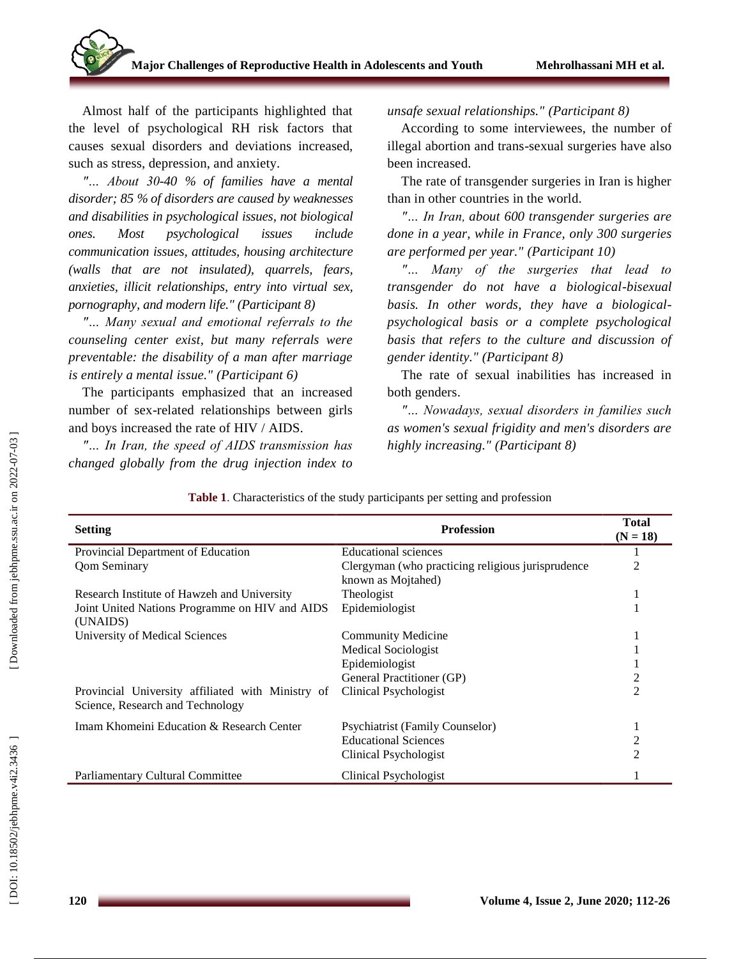Almost half of the participants highlighted that the level of psychological RH risk factors that causes sexual disorders and deviations increased, such as stress, depression, and anxiety.

*"… About 30 -40 % of families have a mental disorder; 85 % of disorders are caused by weaknesses and disabilities in psychological issues , not biological ones. Most psychological issues include communication issues, attitudes, housing architecture (walls that are not insulated), quarrels, fears, anxieties, illicit relationships, entry into virtual sex, pornography, and modern life." (Participant 8)*

*"… Many sexual and emotional referrals to the counseling center exist, but many referrals were preventable: the disability of a man after marriage is entirely a mental issue." (Participant 6)*

The participants emphasized that an increased number of sex -related relationships between girls and boys increased the rate of HIV / AIDS.

*"… In Iran, the speed of AIDS transmission has changed globally from the drug injection index to*  *unsafe sexual relationships." (Participant 8)*

According to some interviewees, the number of illegal abortion and trans -sexual surgeries have also been increased.

The rate of transgender surgeries in Iran is higher than in other countries in the world.

*"… In Iran, about 600 transgender surgeries are done in a year, while in France, only 300 surgeries are performed per year." (Participant 10)*

*"… Many of the surgeries that lead to transgender do not have a biological -bisexual basis. In other words, they have a biological psychological basis or a complete psychological basis that refers to the culture and discussion of gender identity." (Participant 8)*

The rate of sexual inabilities has increased in both genders.

*"… Nowadays, sexual disorders in families such as women's sexual frigidity and men's disorders are highly increasing." (Participant 8)*

| <b>Setting</b>                                                                        | <b>Profession</b>                                                       | <b>Total</b><br>$(N = 18)$ |
|---------------------------------------------------------------------------------------|-------------------------------------------------------------------------|----------------------------|
| Provincial Department of Education                                                    | <b>Educational</b> sciences                                             |                            |
| <b>Qom Seminary</b>                                                                   | Clergyman (who practicing religious jurisprudence<br>known as Mojtahed) | $\overline{c}$             |
| Research Institute of Hawzeh and University                                           | Theologist                                                              |                            |
| Joint United Nations Programme on HIV and AIDS<br>(UNAIDS)                            | Epidemiologist                                                          |                            |
| University of Medical Sciences                                                        | <b>Community Medicine</b>                                               |                            |
|                                                                                       | <b>Medical Sociologist</b>                                              |                            |
|                                                                                       | Epidemiologist                                                          |                            |
|                                                                                       | General Practitioner (GP)                                               | 2                          |
| Provincial University affiliated with Ministry of<br>Science, Research and Technology | Clinical Psychologist                                                   | $\overline{2}$             |
| Imam Khomeini Education & Research Center                                             | <b>Psychiatrist (Family Counselor)</b>                                  |                            |
|                                                                                       | <b>Educational Sciences</b>                                             | 2                          |
|                                                                                       | Clinical Psychologist                                                   | $\mathfrak{D}$             |
| <b>Parliamentary Cultural Committee</b>                                               | Clinical Psychologist                                                   |                            |

**Table 1** . Characteristics of the study participants per setting and profession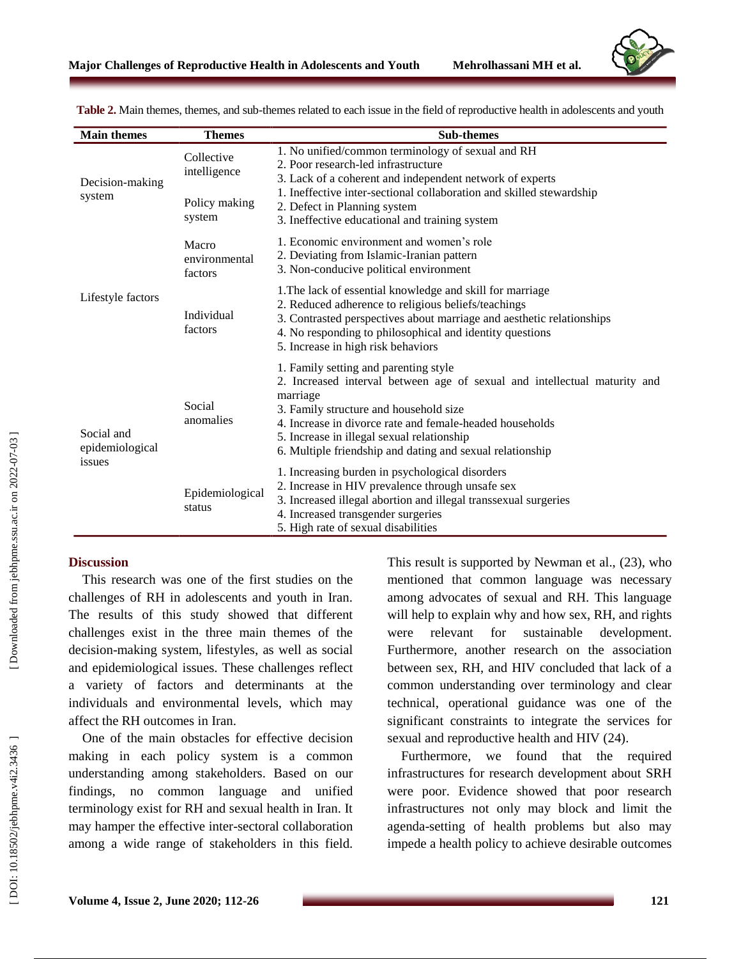

| <b>Main themes</b>                      | <b>Themes</b>                                         | <b>Sub-themes</b>                                                                                                                                                                                                                                                                                                                               |
|-----------------------------------------|-------------------------------------------------------|-------------------------------------------------------------------------------------------------------------------------------------------------------------------------------------------------------------------------------------------------------------------------------------------------------------------------------------------------|
| Decision-making<br>system               | Collective<br>intelligence<br>Policy making<br>system | 1. No unified/common terminology of sexual and RH<br>2. Poor research-led infrastructure<br>3. Lack of a coherent and independent network of experts<br>1. Ineffective inter-sectional collaboration and skilled stewardship<br>2. Defect in Planning system<br>3. Ineffective educational and training system                                  |
| Lifestyle factors                       | Macro<br>environmental<br>factors                     | 1. Economic environment and women's role<br>2. Deviating from Islamic-Iranian pattern<br>3. Non-conducive political environment                                                                                                                                                                                                                 |
|                                         | Individual<br>factors                                 | 1. The lack of essential knowledge and skill for marriage<br>2. Reduced adherence to religious beliefs/teachings<br>3. Contrasted perspectives about marriage and aesthetic relationships<br>4. No responding to philosophical and identity questions<br>5. Increase in high risk behaviors                                                     |
| Social and<br>epidemiological<br>issues | Social<br>anomalies                                   | 1. Family setting and parenting style<br>2. Increased interval between age of sexual and intellectual maturity and<br>marriage<br>3. Family structure and household size<br>4. Increase in divorce rate and female-headed households<br>5. Increase in illegal sexual relationship<br>6. Multiple friendship and dating and sexual relationship |
|                                         | Epidemiological<br>status                             | 1. Increasing burden in psychological disorders<br>2. Increase in HIV prevalence through unsafe sex<br>3. Increased illegal abortion and illegal transsexual surgeries<br>4. Increased transgender surgeries<br>5. High rate of sexual disabilities                                                                                             |

Table 2. Main themes, themes, and sub-themes related to each issue in the field of reproductive health in adolescents and youth

#### **Discussion**

This research was one of the first studies on the challenges of RH in adolescents and youth in Iran. The results of this study showed that different challenges exist in the three main themes of the decision -making system, lifestyles, as well as social and epidemiological issues. These challenges reflect a variety of factors and determinants at the individuals and environmental levels, which may affect the RH outcomes in Iran.

One of the main obstacles for effective decision making in each policy system is a common understanding among stakeholders. Based on our findings, no common language and unified terminology exist for RH and sexual health in Iran. It may hamper the effective inter -sectoral collaboration among a wide range of stakeholders in this field.

This result is supported by Newman et al.,  $(23)$ , who mentioned that common language was necessary among advocates of sexual and RH. This language will help to explain why and how sex, RH, and rights were relevant for sustainable development. Furthermore, another research on the association between sex, RH, and HIV concluded that lack of a common understanding over terminology and clear technical, operational guidance was one of the significant constraints to integrate the services for sexual and reproductive health and HIV (24).

Furthermore, we found that the required infrastructures for research development about SRH were poor. Evidence showed that poor research infrastructures not only may block and limit the agenda -setting of health problems but also may impede a health policy to achieve desirable outcomes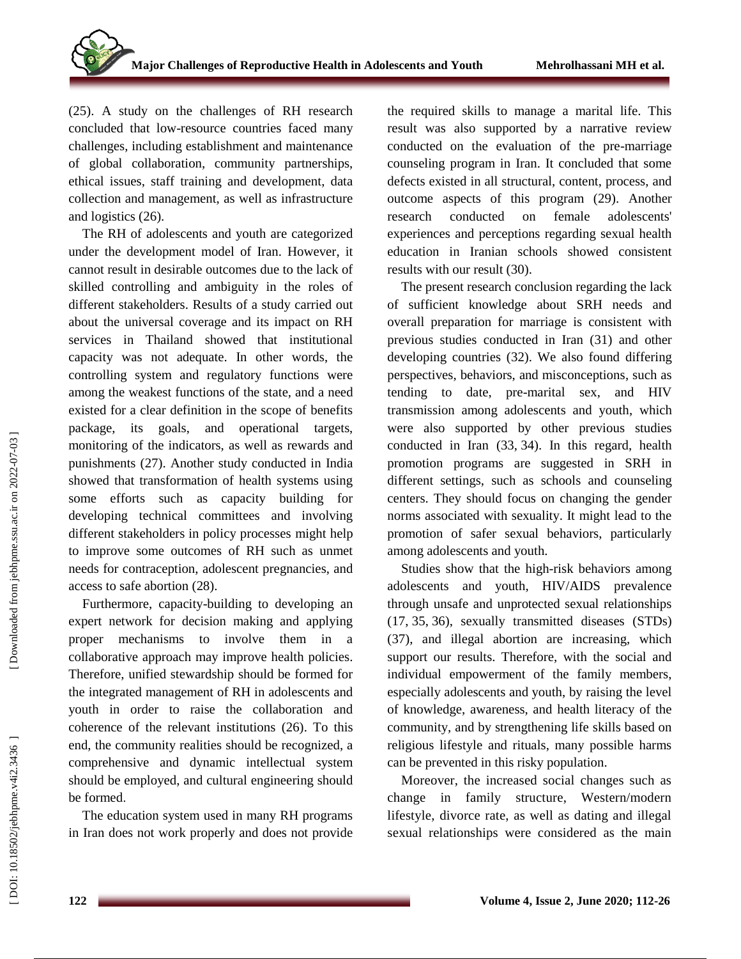(25). A study on the challenges of RH research concluded that low -resource countries faced many challenges, including establishment and maintenance of global collaboration, community partnerships, ethical issues, staff training and development, data collection and management, as well as infrastructure and logistics (26).

The RH of adolescents and youth are categorized under the development model of Iran. However, it cannot result in desirable outcomes due to the lack of skilled controlling and ambiguity in the roles of different stakeholders. Results of a study carried out about the universal coverage and its impact on RH services in Thailand showed that institutional capacity was not adequate. In other words, the controlling system and regulatory functions were among the weakest functions of the state, and a need existed for a clear definition in the scope of benefits package, its goals, and operational targets, monitoring of the indicators, as well as rewards and punishments (27). Another study conducted in India showed that transformation of health systems using some efforts such as capacity building for developing technical committees and involving different stakeholders in policy processes might help to improve some outcomes of RH such as unmet needs for contraception, adolescent pregnancies, and access to safe abortion (28).

Furthermore, capacity -building to developing an expert network for decision making and applying proper mechanisms to involve them in a collaborative approach may improve health policies. Therefore, unified stewardship should be formed for the integrated management of RH in adolescents and youth in order to raise the collaboration and coherence of the relevant institutions (26). To this end, the community realities should be recognized, a comprehensive and dynamic intellectual system should be employed, and cultural engineering should be formed .

The education system used in many RH programs in Iran does not work properly and does not provide

the required skills to manage a marital life. This result was also supported by a narrative review conducted on the evaluation of the pre -marriage counseling program in Iran. It concluded that some defects existed in all structural, content, process, and outcome aspects of this program (29). Another research conducted on female adolescents' experiences and perceptions regarding sexual health education in Iranian schools showed consistent results with our result (30).

The present research conclusion regarding the lack of sufficient knowledge about SRH needs and overall preparation for marriage is consistent with previous studies conducted in Iran (31) and other developing countries (32). We also found differing perspectives, behaviors, and misconceptions, such as tending to date, pre -marital sex, and HIV transmission among adolescents and youth, which were also supported by other previous studies conducted in Iran (33 , 34). In this regard, health promotion programs are suggested in SRH in different settings, such as schools and counseling centers. They should focus on changing the gender norms associated with sexuality. It might lead to the promotion of safer sexual behaviors, particularly among adolescents and youth.

Studies show that the high-risk behaviors among adolescents and youth, HIV/AIDS prevalence through unsafe and unprotected sexual relationships (17, 35, 36), sexually transmitted diseases (STDs) (37), and illegal abortion are increasing, which support our results. Therefore, with the social and individual empowerment of the family members, especially adolescents and youth, by raising the level of knowledge, awareness, and health literacy of the community, and by strengthening life skills based on religious lifestyle and rituals, many possible harms can be prevented in this risky population.

Moreover, the increased social changes such as change in family structure, Western/modern lifestyle, divorce rate, as well as dating and illegal sexual relationships were considered as the main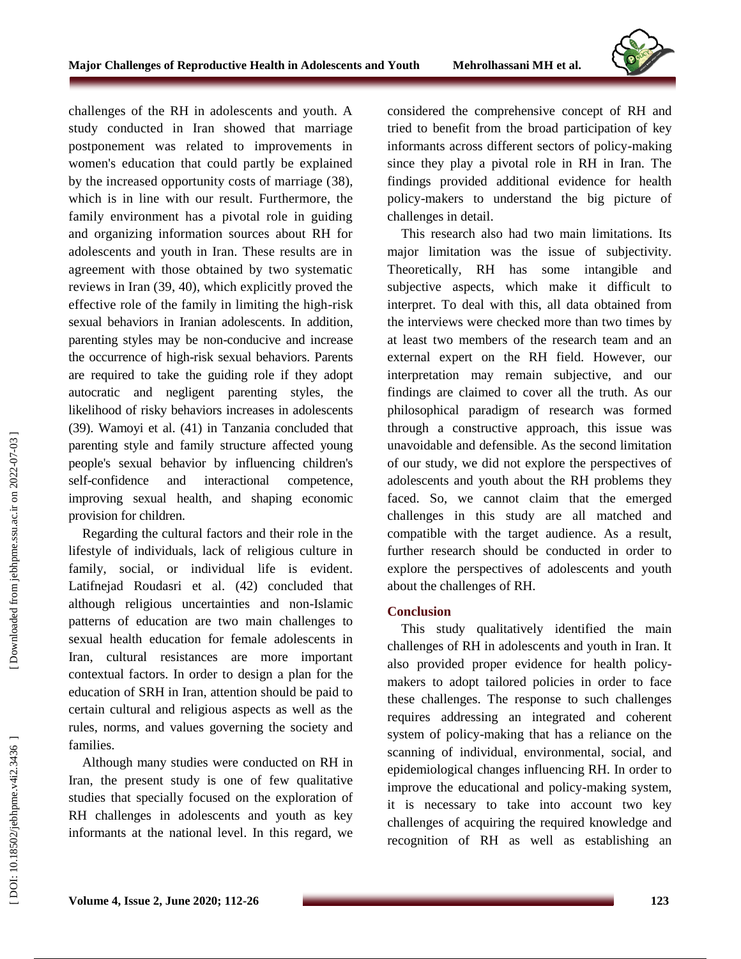

challenges of the RH in adolescents and youth. A study conducted in Iran showed that marriage postponement was related to improvements in women's education that could partly be explained by the increased opportunity costs of marriage (38), which is in line with our result. Furthermore, the family environment has a pivotal role in guiding and organizing information sources about RH for adolescents and youth in Iran. These results are in agreement with those obtained by two systematic reviews in Iran (39 , 40), which explicitly proved the effective role of the family in limiting the high-risk sexual behaviors in Iranian adolescents. In addition, parenting styles may be non -conducive and increase the occurrence of high -risk sexual behaviors. Parents are required to take the guiding role if they adopt autocratic and negligent parenting styles, the likelihood of risky behaviors increases in adolescents (39). Wamoyi et al. (41) in Tanzania concluded that parenting style and family structure affected young people's sexual behavior by influencing children's self-confidence and interactional competence, improving sexual health, and shaping economic provision for children.

Regarding the cultural factors and their role in the lifestyle of individuals, lack of religious culture in family, social, or individual life is evident. Latifnejad Roudasri et al. (42 ) concluded that although religious uncertainties and non -Islamic patterns of education are two main challenges to sexual health education for female adolescents in Iran, cultural resistances are more important contextual factors. In order to design a plan for the education of SRH in Iran, attention should be paid to certain cultural and religious aspects as well as the rules, norms, and values governing the society and families.

Although many studies were conducted on RH in Iran, the present study is one of few qualitative studies that specially focused on the exploration of RH challenges in adolescents and youth as key informants at the national level. In this regard, we

considered the comprehensive concept of RH and tried to benefit from the broad participation of key informants across different sectors of policy -making since they play a pivotal role in RH in Iran. The findings provided additional evidence for health policy -makers to understand the big picture of challenges in detail.

This research also had two main limitations. Its major limitation was the issue of subjectivity. Theoretically, RH has some intangible and subjective aspects, which make it difficult to interpret. To deal with this, all data obtained from the interviews were checked more than two times by at least two members of the research team and an external expert on the RH field. However, our interpretation may remain subjective, and our findings are claimed to cover all the truth. As our philosophical paradigm of research was formed through a constructive approach, this issue was unavoidable and defensible. As the second limitation of our study, we did not explore the perspectives of adolescents and youth about the RH problems they faced. So, we cannot claim that the emerged challenges in this study are all matched and compatible with the target audience. As a result, further research should be conducted in order to explore the perspectives of adolescents and youth about the challenges of RH.

#### **Conclusion**

This study qualitatively identified the main challenges of RH in adolescents and youth in Iran. It also provided proper evidence for health policy makers to adopt tailored policies in order to face these challenges. The response to such challenges requires addressing an integrated and coherent system of policy -making that has a reliance on the scanning of individual, environmental, social, and epidemiological changes influencing RH. In order to improve the educational and policy -making system, it is necessary to take into account two key challenges of acquiring the required knowledge and recognition of RH as well as establishing an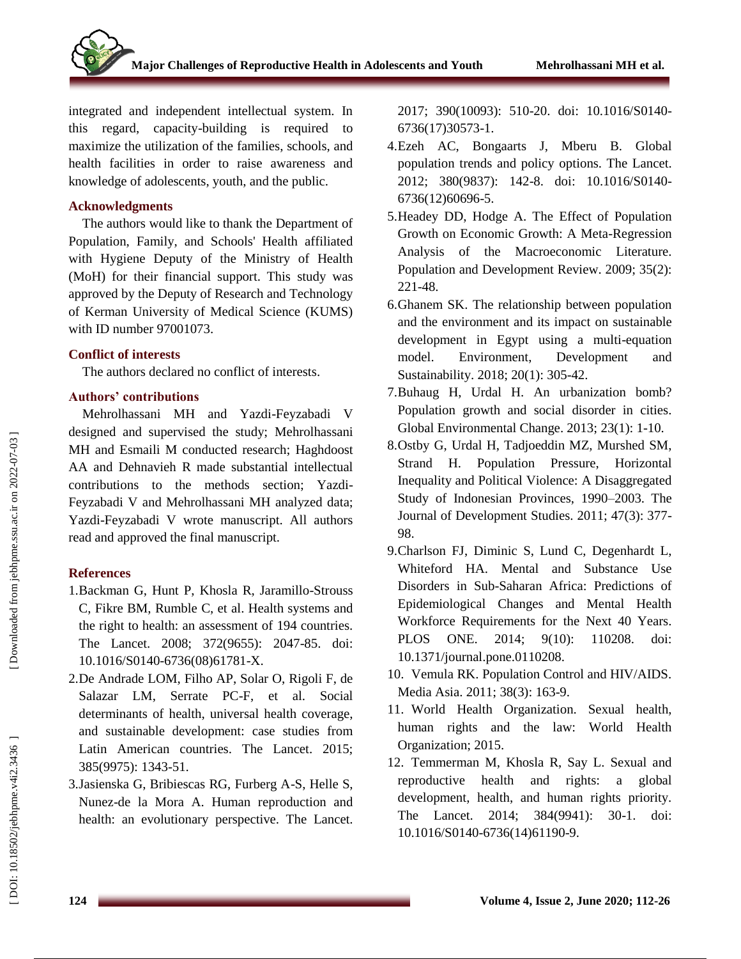integrated and independent intellectual system. In this regard, capacity -building is required to maximize the utilization of the families, schools, and health facilities in order to raise awareness and knowledge of adolescents, youth, and the public.

#### **Acknowledgments**

The authors would like to thank the Department of Population, Family, and Schools' Health affiliated with Hygiene Deputy of the Ministry of Health (MoH) for their financial support. This study was approved by the Deputy of Research and Technology of Kerman University of Medical Science (KUMS) with ID number 97001073.

#### **Conflict of interests**

The authors declared no conflict of interest s.

## **Authors' contributions**

Mehrolhassani MH and Yazdi -Feyzabadi V designed and supervised the study; Mehrolhassani MH and Esmaili M conducted research; Haghdoost AA and Dehnavieh R made substantial intellectual contributions to the methods section ; Yazdi - Feyzabadi V and Mehrolhassani MH analyzed data; Yazdi -Feyzabadi V wrote manuscript. All authors read and approved the final manuscript.

## **References**

- 1.Backman G, Hunt P, Khosla R, Jaramillo -Strouss C, Fikre BM, Rumble C, et al. Health systems and the right to health: an assessment of 194 countries. The Lancet. 2008; 372(9655): 2047 -85. doi: 10.1016/S0140 -6736(08)61781 -X.
- 2 .De Andrade LOM, Filho AP, Solar O, Rigoli F, de Salazar LM, Serrate PC -F, et al. Social determinants of health, universal health coverage, and sustainable development: case studies from Latin American countries. The Lancet. 2015; 385(9975): 1343 -51.
- 3 .Jasienska G, Bribiescas RG, Furberg A -S, Helle S, Nunez -de la Mora A. Human reproduction and health: an evolutionary perspective. The Lancet.

2017; 390(10093): 510 -20. doi: 10.1016/S0140 - 6736(17)30573 -1.

- 4 .Ezeh AC, Bongaarts J, Mberu B. Global population trends and policy options. The Lancet. 2012; 380(9837): 142 -8. doi: 10.1016/S0140 - 6736(12)60696 -5.
- 5 .Headey DD, Hodge A. The Effect of Population Growth on Economic Growth: A Meta -Regression Analysis of the Macroeconomic Literature. Population and Development Review. 2009; 35(2): 221 -48.
- 6 .Ghanem SK. The relationship between population and the environment and its impact on sustainable development in Egypt using a multi -equation model. Environment, Development and Sustainability. 2018; 20(1): 305 -42.
- 7 .Buhaug H, Urdal H. An urbanization bomb? Population growth and social disorder in cities. Global Environmental Change. 2013; 23(1): 1 -10.
- 8 .Ostby G, Urdal H, Tadjoeddin MZ, Murshed SM, Strand H. Population Pressure, Horizontal Inequality and Political Violence: A Disaggregated Study of Indonesian Provinces, 1990 –2003. The Journal of Development Studies. 2011; 47(3): 377 - 98.
- 9 .Charlson FJ, Diminic S, Lund C, Degenhardt L, Whiteford HA. Mental and Substance Use Disorders in Sub -Saharan Africa: Predictions of Epidemiological Changes and Mental Health Workforce Requirements for the Next 40 Years. PLOS ONE. 2014; 9(10): 110208. doi: 10.1371/journal.pone.0110208.
- 10 . Vemula RK. Population Control and HIV/AIDS. Media Asia. 2011; 38(3): 163 -9.
- 11 . World Health Organization. Sexual health, human rights and the law: World Health Organization; 2015.
- 12 . Temmerman M, Khosla R, Say L. Sexual and reproductive health and rights: a global development, health, and human rights priority. The Lancet. 2014; 384(9941): 30 -1. doi: 10.1016/S0140 -6736(14)61190 -9.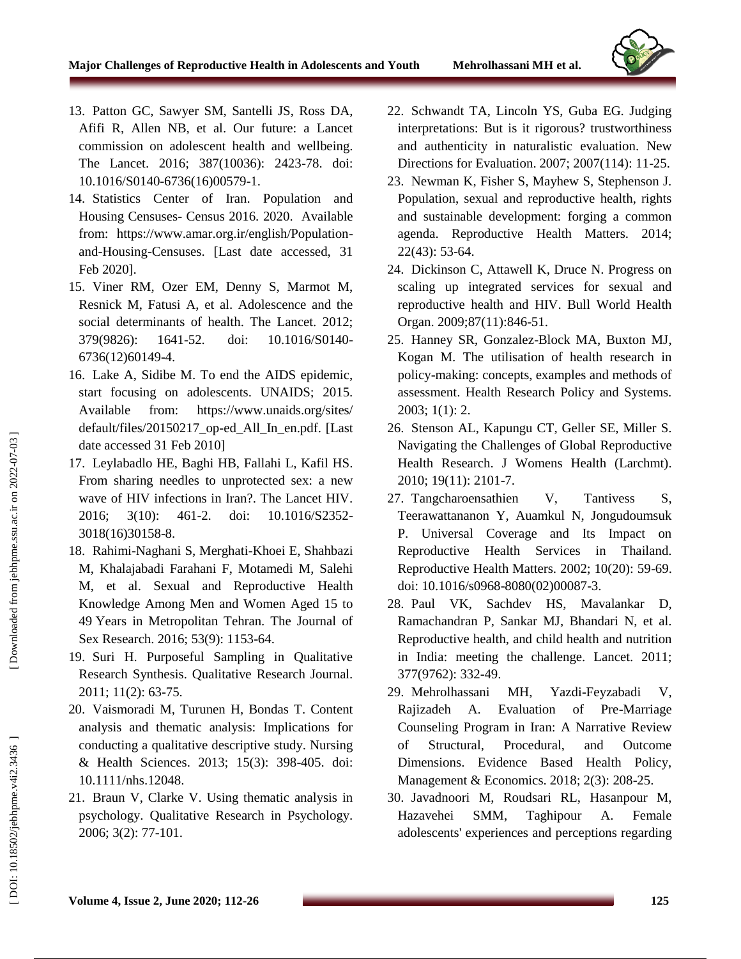

- 13 . Patton GC, Sawyer SM, Santelli JS, Ross DA, Afifi R, Allen NB, et al. Our future: a Lancet commission on adolescent health and wellbeing. The Lancet. 2016; 387(10036): 2423 -78. doi: 10.1016/S0140 -6736(16)00579 -1.
- 14 . Statistics Center of Iran. Population and Housing Censuses - Census 2016. 2020. Available from: https://www.amar.org.ir/english/Population and -Housing -Censuses. [Last date accessed, 31 Feb 2020].
- 15 . Viner RM, Ozer EM, Denny S, Marmot M, Resnick M, Fatusi A, et al. Adolescence and the social determinants of health. The Lancet. 2012; 379(9826): 1641 -52. doi: 10.1016/S0140 - 6736(12)60149 -4.
- 16 . Lake A, Sidibe M. To end the AIDS epidemic, start focusing on adolescents. UNAIDS; 2015. Available from: https://www.unaids.org/sites/ default/files/20150217\_op -ed\_All\_In\_en.pdf. [Last date accessed 31 Feb 2010]
- 17 . Leylabadlo HE, Baghi HB, Fallahi L, Kafil HS. From sharing needles to unprotected sex: a new wave of HIV infections in Iran?. The Lancet HIV. 2016; 3(10): 461 -2. doi: 10.1016/S2352 - 3018(16)30158 -8.
- 18 . Rahimi -Naghani S, Merghati -Khoei E, Shahbazi M, Khalajabadi Farahani F, Motamedi M, Salehi M, et al. Sexual and Reproductive Health Knowledge Among Men and Women Aged 15 to 49 Years in Metropolitan Tehran. The Journal of Sex Research. 2016; 53(9): 1153 -64.
- 19 . Suri H. Purposeful Sampling in Qualitative Research Synthesis. Qualitative Research Journal. 2011; 11(2): 63 -75.
- 20 . Vaismoradi M, Turunen H, Bondas T. Content analysis and thematic analysis: Implications for conducting a qualitative descriptive study. Nursing & Health Sciences. 2013; 15(3): 398 -405. doi: 10.1111/nhs.12048.
- 21 . Braun V, Clarke V. Using thematic analysis in psychology. Qualitative Research in Psychology. 2006; 3(2): 77 -101.
- 22 . Schwandt TA, Lincoln YS, Guba EG. Judging interpretations: But is it rigorous? trustworthiness and authenticity in naturalistic evaluation. New Directions for Evaluation. 2007; 2007(114): 11 - 25.
- 23 . Newman K, Fisher S, Mayhew S, Stephenson J. Population, sexual and reproductive health, rights and sustainable development: forging a common agenda. Reproductive Health Matters. 2014; 22(43): 53 -64.
- 24 . Dickinson C, Attawell K, Druce N. Progress on scaling up integrated services for sexual and reproductive health and HIV. Bull World Health Organ. 2009;87(11):846-51.
- 25 . Hanney SR, Gonzalez -Block MA, Buxton MJ, Kogan M. The utilisation of health research in policy -making: concepts, examples and methods of assessment. Health Research Policy and Systems. 2003; 1(1): 2.
- 26 . Stenson AL, Kapungu CT, Geller SE, Miller S. Navigating the Challenges of Global Reproductive Health Research. J Womens Health (Larchmt). 2010; 19(11): 2101 -7.
- 27 . Tangcharoensathien V, Tantivess S, Teerawattananon Y, Auamkul N, Jongudoumsuk P. Universal Coverage and Its Impact on Reproductive Health Services in Thailand. Reproductive Health Matters. 2002; 10(20): 59 -69. doi: 10.1016/s0968 -8080(02)00087 -3.
- 28 . Paul VK, Sachdev HS, Mavalankar D, Ramachandran P, Sankar MJ, Bhandari N, et al. Reproductive health, and child health and nutrition in India: meeting the challenge. Lancet. 2011; 377(9762): 332 -49.
- 29 . Mehrolhassani MH, Yazdi Yazdi-Feyzabadi V, Rajizadeh A. Evaluation of Pre-Marriage Counseling Program in Iran: A Narrative Review of Structural, Procedural, and Outcome Dimensions. Evidence Based Health Policy, Management & Economics. 2018; 2(3): 208 -25.
- 30 . Javadnoori M, Roudsari RL, Hasanpour M, Hazavehei SMM, Taghipour A. Female adolescents' experiences and perceptions regarding